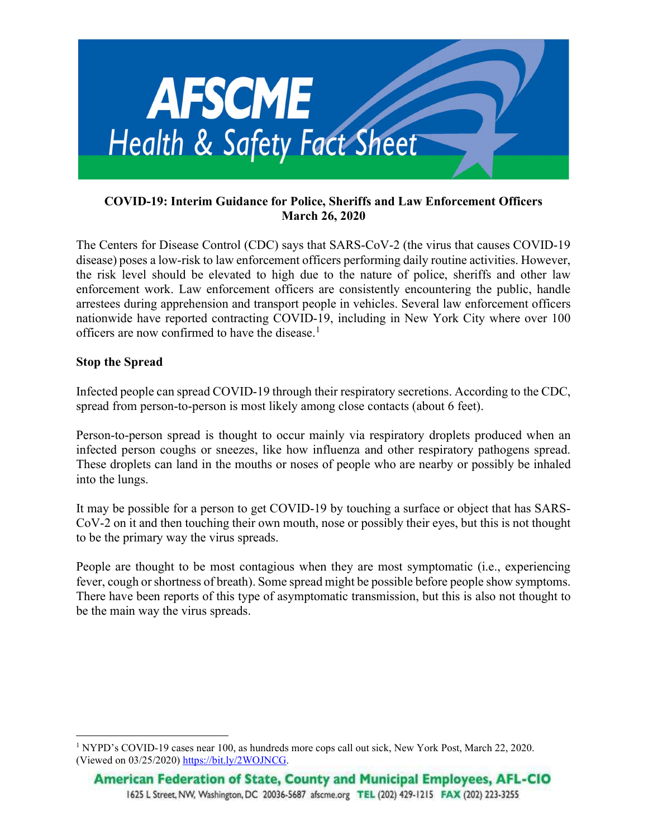

### COVID-19: Interim Guidance for Police, Sheriffs and Law Enforcement Officers March 26, 2020

The Centers for Disease Control (CDC) says that SARS-CoV-2 (the virus that causes COVID-19 disease) poses a low-risk to law enforcement officers performing daily routine activities. However, the risk level should be elevated to high due to the nature of police, sheriffs and other law enforcement work. Law enforcement officers are consistently encountering the public, handle arrestees during apprehension and transport people in vehicles. Several law enforcement officers nationwide have reported contracting COVID-19, including in New York City where over 100 officers are now confirmed to have the disease.<sup>1</sup>

### Stop the Spread

Infected people can spread COVID-19 through their respiratory secretions. According to the CDC, spread from person-to-person is most likely among close contacts (about 6 feet).

Person-to-person spread is thought to occur mainly via respiratory droplets produced when an infected person coughs or sneezes, like how influenza and other respiratory pathogens spread. These droplets can land in the mouths or noses of people who are nearby or possibly be inhaled into the lungs.

It may be possible for a person to get COVID-19 by touching a surface or object that has SARS-CoV-2 on it and then touching their own mouth, nose or possibly their eyes, but this is not thought to be the primary way the virus spreads.

People are thought to be most contagious when they are most symptomatic (i.e., experiencing fever, cough or shortness of breath). Some spread might be possible before people show symptoms. There have been reports of this type of asymptomatic transmission, but this is also not thought to be the main way the virus spreads.

<sup>&</sup>lt;sup>1</sup> NYPD's COVID-19 cases near 100, as hundreds more cops call out sick, New York Post, March 22, 2020. (Viewed on 03/25/2020) https://bit.ly/2WOJNCG.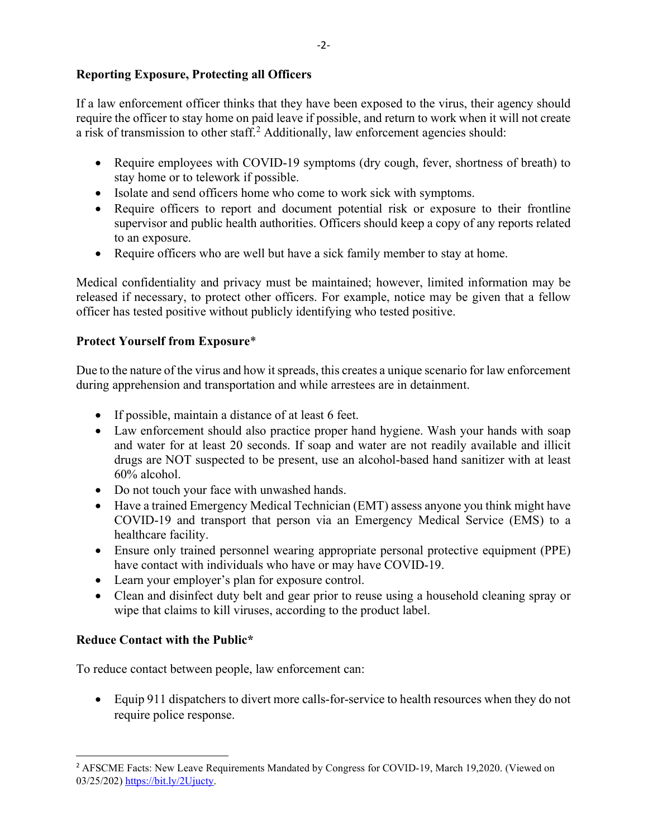### Reporting Exposure, Protecting all Officers

If a law enforcement officer thinks that they have been exposed to the virus, their agency should require the officer to stay home on paid leave if possible, and return to work when it will not create a risk of transmission to other staff.<sup>2</sup> Additionally, law enforcement agencies should:

- Require employees with COVID-19 symptoms (dry cough, fever, shortness of breath) to stay home or to telework if possible.
- Isolate and send officers home who come to work sick with symptoms.
- Require officers to report and document potential risk or exposure to their frontline supervisor and public health authorities. Officers should keep a copy of any reports related to an exposure.
- Require officers who are well but have a sick family member to stay at home.

Medical confidentiality and privacy must be maintained; however, limited information may be released if necessary, to protect other officers. For example, notice may be given that a fellow officer has tested positive without publicly identifying who tested positive.

### Protect Yourself from Exposure\*

Due to the nature of the virus and how it spreads, this creates a unique scenario for law enforcement during apprehension and transportation and while arrestees are in detainment.

- If possible, maintain a distance of at least 6 feet.
- Law enforcement should also practice proper hand hygiene. Wash your hands with soap and water for at least 20 seconds. If soap and water are not readily available and illicit drugs are NOT suspected to be present, use an alcohol-based hand sanitizer with at least 60% alcohol.
- Do not touch your face with unwashed hands.
- Have a trained Emergency Medical Technician (EMT) assess anyone you think might have COVID-19 and transport that person via an Emergency Medical Service (EMS) to a healthcare facility.
- Ensure only trained personnel wearing appropriate personal protective equipment (PPE) have contact with individuals who have or may have COVID-19.
- Learn your employer's plan for exposure control.
- Clean and disinfect duty belt and gear prior to reuse using a household cleaning spray or wipe that claims to kill viruses, according to the product label.

### Reduce Contact with the Public\*

To reduce contact between people, law enforcement can:

• Equip 911 dispatchers to divert more calls-for-service to health resources when they do not require police response.

<sup>&</sup>lt;sup>2</sup> AFSCME Facts: New Leave Requirements Mandated by Congress for COVID-19, March 19,2020. (Viewed on 03/25/202) https://bit.ly/2Ujucty.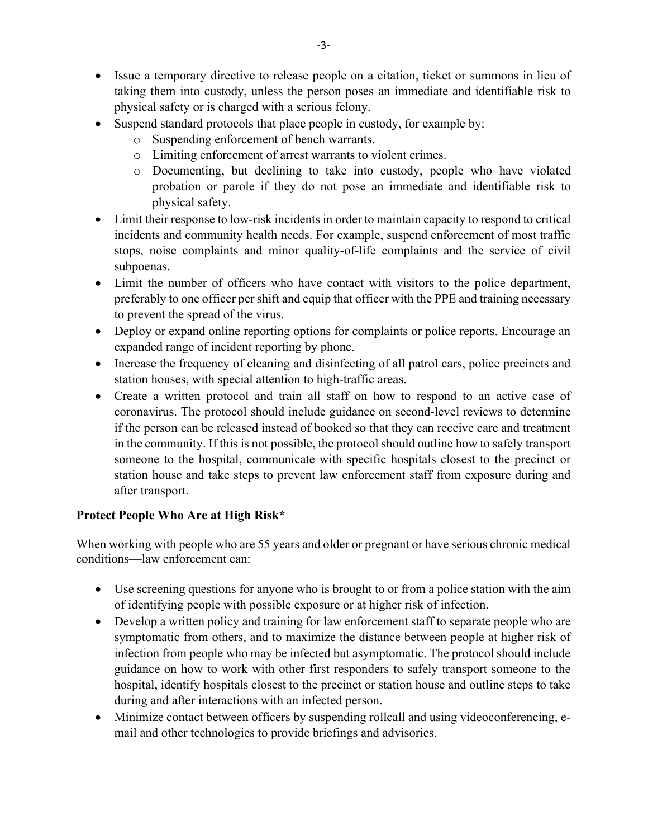- Issue a temporary directive to release people on a citation, ticket or summons in lieu of taking them into custody, unless the person poses an immediate and identifiable risk to physical safety or is charged with a serious felony.
- Suspend standard protocols that place people in custody, for example by:
	- o Suspending enforcement of bench warrants.
	- o Limiting enforcement of arrest warrants to violent crimes.
	- o Documenting, but declining to take into custody, people who have violated probation or parole if they do not pose an immediate and identifiable risk to physical safety.
- Limit their response to low-risk incidents in order to maintain capacity to respond to critical incidents and community health needs. For example, suspend enforcement of most traffic stops, noise complaints and minor quality-of-life complaints and the service of civil subpoenas.
- Limit the number of officers who have contact with visitors to the police department, preferably to one officer per shift and equip that officer with the PPE and training necessary to prevent the spread of the virus.
- Deploy or expand online reporting options for complaints or police reports. Encourage an expanded range of incident reporting by phone.
- Increase the frequency of cleaning and disinfecting of all patrol cars, police precincts and station houses, with special attention to high-traffic areas.
- Create a written protocol and train all staff on how to respond to an active case of coronavirus. The protocol should include guidance on second-level reviews to determine if the person can be released instead of booked so that they can receive care and treatment in the community. If this is not possible, the protocol should outline how to safely transport someone to the hospital, communicate with specific hospitals closest to the precinct or station house and take steps to prevent law enforcement staff from exposure during and after transport.

# Protect People Who Are at High Risk\*

When working with people who are 55 years and older or pregnant or have serious chronic medical conditions—law enforcement can:

- Use screening questions for anyone who is brought to or from a police station with the aim of identifying people with possible exposure or at higher risk of infection.
- Develop a written policy and training for law enforcement staff to separate people who are symptomatic from others, and to maximize the distance between people at higher risk of infection from people who may be infected but asymptomatic. The protocol should include guidance on how to work with other first responders to safely transport someone to the hospital, identify hospitals closest to the precinct or station house and outline steps to take during and after interactions with an infected person.
- Minimize contact between officers by suspending rollcall and using videoconferencing, email and other technologies to provide briefings and advisories.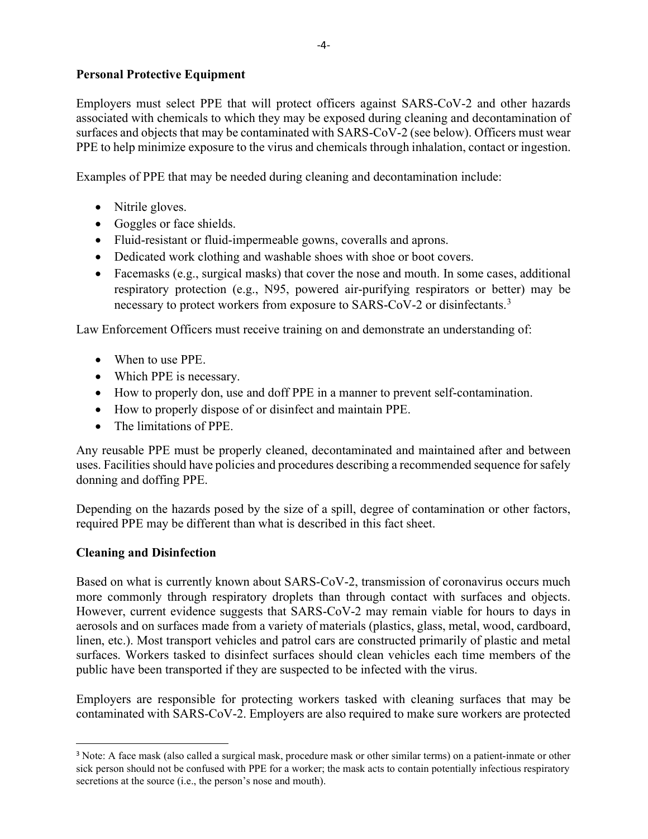### Personal Protective Equipment

Employers must select PPE that will protect officers against SARS-CoV-2 and other hazards associated with chemicals to which they may be exposed during cleaning and decontamination of surfaces and objects that may be contaminated with SARS-CoV-2 (see below). Officers must wear PPE to help minimize exposure to the virus and chemicals through inhalation, contact or ingestion.

Examples of PPE that may be needed during cleaning and decontamination include:

- Nitrile gloves.
- Goggles or face shields.
- Fluid-resistant or fluid-impermeable gowns, coveralls and aprons.
- Dedicated work clothing and washable shoes with shoe or boot covers.
- Facemasks (e.g., surgical masks) that cover the nose and mouth. In some cases, additional respiratory protection (e.g., N95, powered air-purifying respirators or better) may be necessary to protect workers from exposure to SARS-CoV-2 or disinfectants.<sup>3</sup>

Law Enforcement Officers must receive training on and demonstrate an understanding of:

- When to use PPE.
- Which PPE is necessary.
- How to properly don, use and doff PPE in a manner to prevent self-contamination.
- How to properly dispose of or disinfect and maintain PPE.
- The limitations of PPE.

Any reusable PPE must be properly cleaned, decontaminated and maintained after and between uses. Facilities should have policies and procedures describing a recommended sequence for safely donning and doffing PPE.

Depending on the hazards posed by the size of a spill, degree of contamination or other factors, required PPE may be different than what is described in this fact sheet.

# Cleaning and Disinfection

Based on what is currently known about SARS-CoV-2, transmission of coronavirus occurs much more commonly through respiratory droplets than through contact with surfaces and objects. However, current evidence suggests that SARS-CoV-2 may remain viable for hours to days in aerosols and on surfaces made from a variety of materials (plastics, glass, metal, wood, cardboard, linen, etc.). Most transport vehicles and patrol cars are constructed primarily of plastic and metal surfaces. Workers tasked to disinfect surfaces should clean vehicles each time members of the public have been transported if they are suspected to be infected with the virus.

Employers are responsible for protecting workers tasked with cleaning surfaces that may be contaminated with SARS-CoV-2. Employers are also required to make sure workers are protected

<sup>&</sup>lt;sup>3</sup> Note: A face mask (also called a surgical mask, procedure mask or other similar terms) on a patient-inmate or other sick person should not be confused with PPE for a worker; the mask acts to contain potentially infectious respiratory secretions at the source (i.e., the person's nose and mouth).